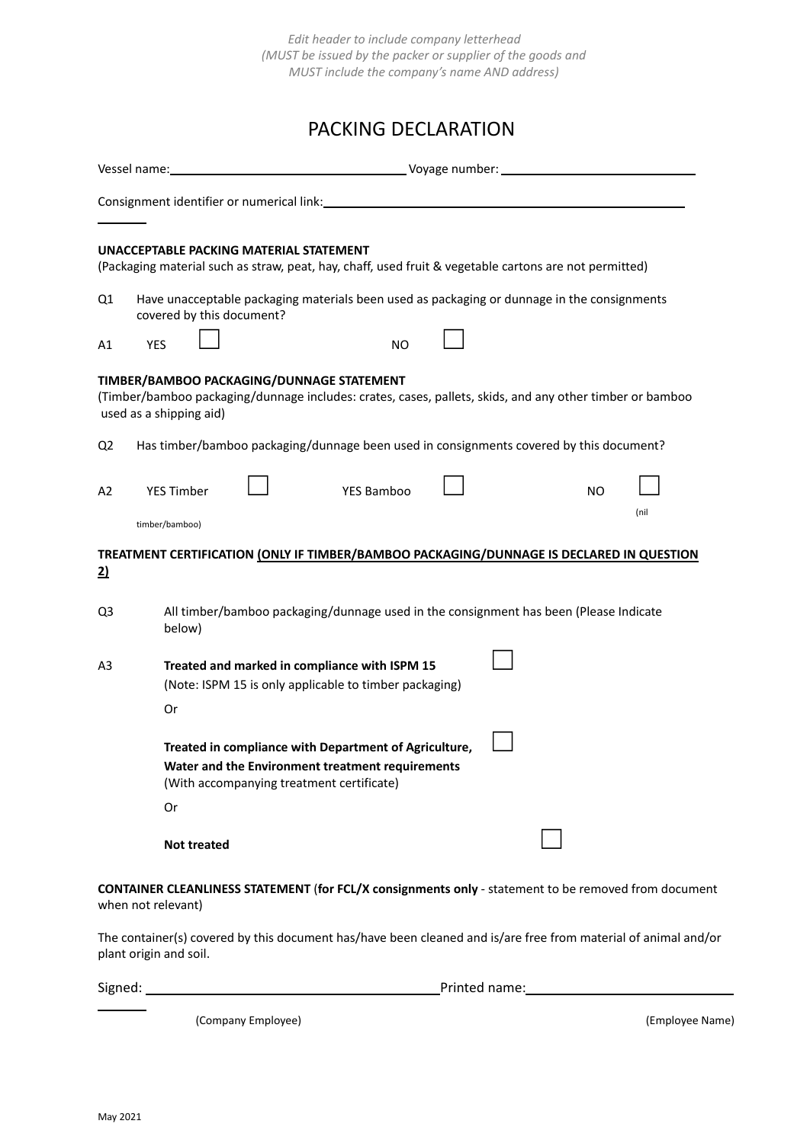*Edit header to include company letterhead (MUST be issued by the packer or supplier of the goods and MUST include the company's name AND address)*

## PACKING DECLARATION

|                | UNACCEPTABLE PACKING MATERIAL STATEMENT<br>(Packaging material such as straw, peat, hay, chaff, used fruit & vegetable cartons are not permitted)                                |                                                                                                         |  |     |      |  |
|----------------|----------------------------------------------------------------------------------------------------------------------------------------------------------------------------------|---------------------------------------------------------------------------------------------------------|--|-----|------|--|
| Q1             | covered by this document?                                                                                                                                                        | Have unacceptable packaging materials been used as packaging or dunnage in the consignments             |  |     |      |  |
| Α1             | <b>YES</b>                                                                                                                                                                       | <b>NO</b>                                                                                               |  |     |      |  |
|                | TIMBER/BAMBOO PACKAGING/DUNNAGE STATEMENT<br>(Timber/bamboo packaging/dunnage includes: crates, cases, pallets, skids, and any other timber or bamboo<br>used as a shipping aid) |                                                                                                         |  |     |      |  |
| Q <sub>2</sub> | Has timber/bamboo packaging/dunnage been used in consignments covered by this document?                                                                                          |                                                                                                         |  |     |      |  |
| A2             | <b>YES Timber</b>                                                                                                                                                                | YES Bamboo                                                                                              |  | NO. | (nil |  |
|                | timber/bamboo)                                                                                                                                                                   |                                                                                                         |  |     |      |  |
| $\overline{2}$ | TREATMENT CERTIFICATION (ONLY IF TIMBER/BAMBOO PACKAGING/DUNNAGE IS DECLARED IN QUESTION                                                                                         |                                                                                                         |  |     |      |  |
| Q <sub>3</sub> | below)                                                                                                                                                                           | All timber/bamboo packaging/dunnage used in the consignment has been (Please Indicate                   |  |     |      |  |
| A <sub>3</sub> |                                                                                                                                                                                  | Treated and marked in compliance with ISPM 15<br>(Note: ISPM 15 is only applicable to timber packaging) |  |     |      |  |
|                | Or                                                                                                                                                                               |                                                                                                         |  |     |      |  |
|                | Treated in compliance with Department of Agriculture,<br>Water and the Environment treatment requirements<br>(With accompanying treatment certificate)                           |                                                                                                         |  |     |      |  |
|                | Or                                                                                                                                                                               |                                                                                                         |  |     |      |  |
|                | <b>Not treated</b>                                                                                                                                                               |                                                                                                         |  |     |      |  |
|                | <b>CONTAINER CLEANLINESS STATEMENT (for FCL/X consignments only - statement to be removed from document</b><br>when not relevant)                                                |                                                                                                         |  |     |      |  |
|                | The container(s) covered by this document has/have been cleaned and is/are free from material of animal and/or<br>plant origin and soil.                                         |                                                                                                         |  |     |      |  |

Signed: Printed name:

(Company Employee) (Employee Name)